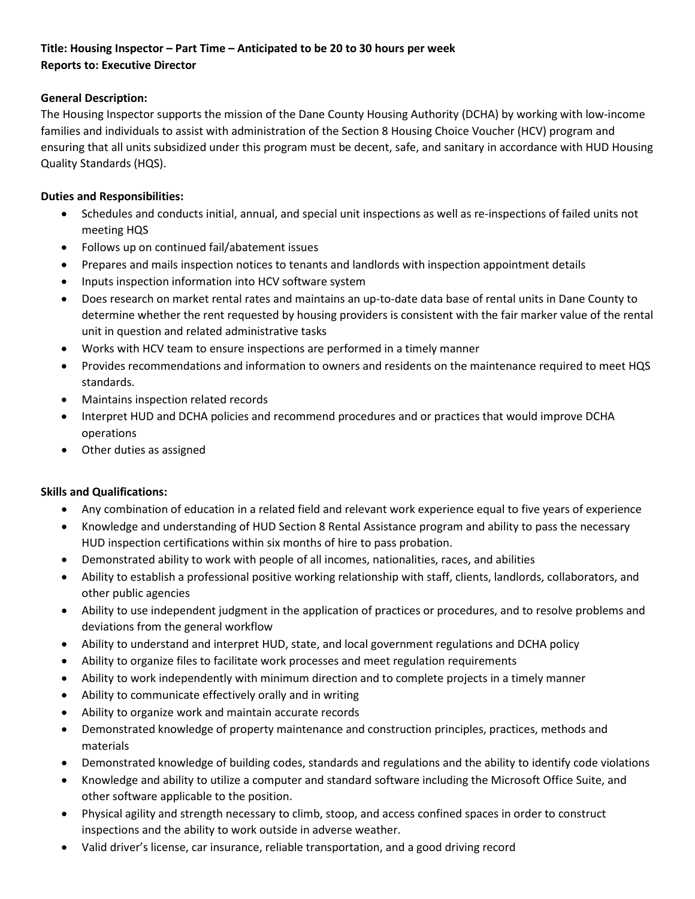## **Title: Housing Inspector – Part Time – Anticipated to be 20 to 30 hours per week Reports to: Executive Director**

## **General Description:**

The Housing Inspector supports the mission of the Dane County Housing Authority (DCHA) by working with low-income families and individuals to assist with administration of the Section 8 Housing Choice Voucher (HCV) program and ensuring that all units subsidized under this program must be decent, safe, and sanitary in accordance with HUD Housing Quality Standards (HQS).

## **Duties and Responsibilities:**

- Schedules and conducts initial, annual, and special unit inspections as well as re-inspections of failed units not meeting HQS
- Follows up on continued fail/abatement issues
- Prepares and mails inspection notices to tenants and landlords with inspection appointment details
- Inputs inspection information into HCV software system
- Does research on market rental rates and maintains an up-to-date data base of rental units in Dane County to determine whether the rent requested by housing providers is consistent with the fair marker value of the rental unit in question and related administrative tasks
- Works with HCV team to ensure inspections are performed in a timely manner
- Provides recommendations and information to owners and residents on the maintenance required to meet HQS standards.
- Maintains inspection related records
- Interpret HUD and DCHA policies and recommend procedures and or practices that would improve DCHA operations
- Other duties as assigned

## **Skills and Qualifications:**

- Any combination of education in a related field and relevant work experience equal to five years of experience
- Knowledge and understanding of HUD Section 8 Rental Assistance program and ability to pass the necessary HUD inspection certifications within six months of hire to pass probation.
- Demonstrated ability to work with people of all incomes, nationalities, races, and abilities
- Ability to establish a professional positive working relationship with staff, clients, landlords, collaborators, and other public agencies
- Ability to use independent judgment in the application of practices or procedures, and to resolve problems and deviations from the general workflow
- Ability to understand and interpret HUD, state, and local government regulations and DCHA policy
- Ability to organize files to facilitate work processes and meet regulation requirements
- Ability to work independently with minimum direction and to complete projects in a timely manner
- Ability to communicate effectively orally and in writing
- Ability to organize work and maintain accurate records
- Demonstrated knowledge of property maintenance and construction principles, practices, methods and materials
- Demonstrated knowledge of building codes, standards and regulations and the ability to identify code violations
- Knowledge and ability to utilize a computer and standard software including the Microsoft Office Suite, and other software applicable to the position.
- Physical agility and strength necessary to climb, stoop, and access confined spaces in order to construct inspections and the ability to work outside in adverse weather.
- Valid driver's license, car insurance, reliable transportation, and a good driving record